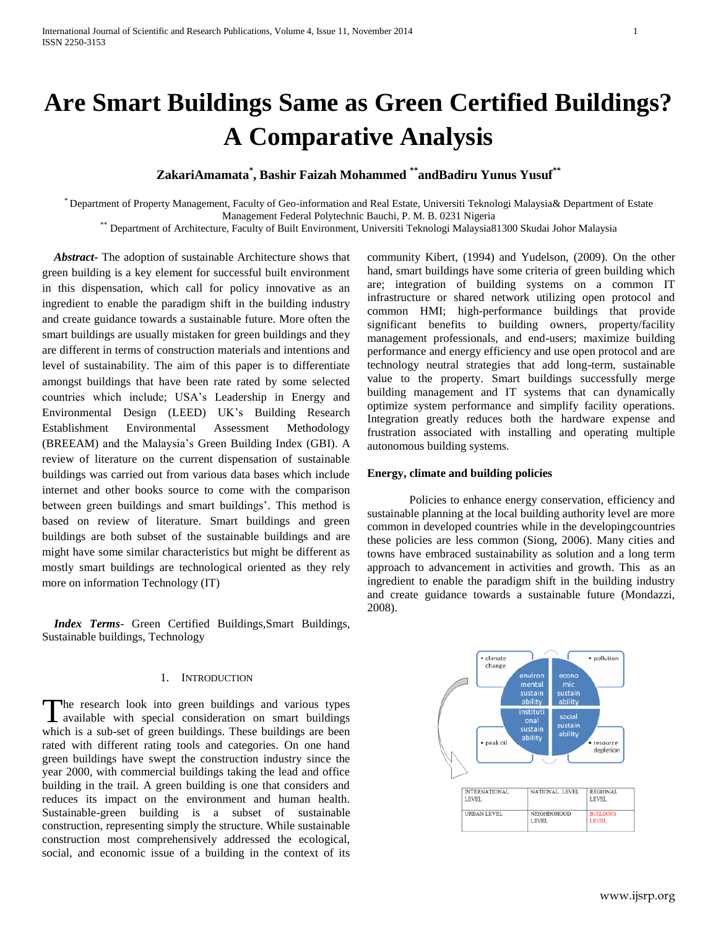# **Are Smart Buildings Same as Green Certified Buildings? A Comparative Analysis**

# **ZakariAmamata\* , Bashir Faizah Mohammed \*\*andBadiru Yunus Yusuf\*\***

\* Department of Property Management, Faculty of Geo-information and Real Estate, Universiti Teknologi Malaysia& Department of Estate Management Federal Polytechnic Bauchi, P. M. B. 0231 Nigeria

\*\* Department of Architecture, Faculty of Built Environment, Universiti Teknologi Malaysia81300 Skudai Johor Malaysia

 *Abstract***-** The adoption of sustainable Architecture shows that green building is a key element for successful built environment in this dispensation, which call for policy innovative as an ingredient to enable the paradigm shift in the building industry and create guidance towards a sustainable future. More often the smart buildings are usually mistaken for green buildings and they are different in terms of construction materials and intentions and level of sustainability. The aim of this paper is to differentiate amongst buildings that have been rate rated by some selected countries which include; USA"s Leadership in Energy and Environmental Design (LEED) UK"s Building Research Establishment Environmental Assessment Methodology (BREEAM) and the Malaysia"s Green Building Index (GBI). A review of literature on the current dispensation of sustainable buildings was carried out from various data bases which include internet and other books source to come with the comparison between green buildings and smart buildings'. This method is based on review of literature. Smart buildings and green buildings are both subset of the sustainable buildings and are might have some similar characteristics but might be different as mostly smart buildings are technological oriented as they rely more on information Technology (IT)

 *Index Terms*- Green Certified Buildings,Smart Buildings, Sustainable buildings, Technology

#### 1. INTRODUCTION

The research look into green buildings and various types The research look into green buildings and various types available with special consideration on smart buildings which is a sub-set of green buildings. These buildings are been rated with different rating tools and categories. On one hand green buildings have swept the construction industry since the year 2000, with commercial buildings taking the lead and office building in the trail. A green building is one that considers and reduces its impact on the environment and human health. Sustainable-green building is a subset of sustainable construction, representing simply the structure. While sustainable construction most comprehensively addressed the ecological, social, and economic issue of a building in the context of its

community Kibert, (1994) and Yudelson, (2009). On the other hand, smart buildings have some criteria of green building which are; integration of building systems on a common IT infrastructure or shared network utilizing open protocol and common HMI; high-performance buildings that provide significant benefits to building owners, property/facility management professionals, and end-users; maximize building performance and energy efficiency and use open protocol and are technology neutral strategies that add long-term, sustainable value to the property. Smart buildings successfully merge building management and IT systems that can dynamically optimize system performance and simplify facility operations. Integration greatly reduces both the hardware expense and frustration associated with installing and operating multiple autonomous building systems.

#### **Energy, climate and building policies**

Policies to enhance energy conservation, efficiency and sustainable planning at the local building authority level are more common in developed countries while in the developingcountries these policies are less common (Siong, 2006). Many cities and towns have embraced sustainability as solution and a long term approach to advancement in activities and growth. This as an ingredient to enable the paradigm shift in the building industry and create guidance towards a sustainable future (Mondazzi, 2008).

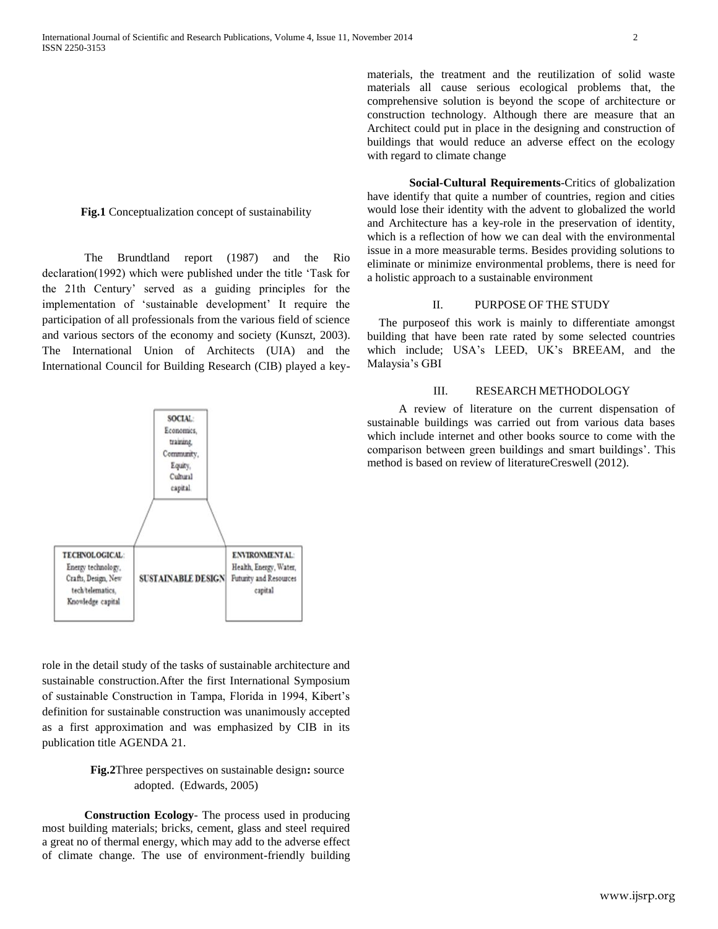## **Fig.1** Conceptualization concept of sustainability

The Brundtland report (1987) and the Rio declaration(1992) which were published under the title "Task for the 21th Century" served as a guiding principles for the implementation of "sustainable development" It require the participation of all professionals from the various field of science and various sectors of the economy and society (Kunszt, 2003). The International Union of Architects (UIA) and the International Council for Building Research (CIB) played a key-



role in the detail study of the tasks of sustainable architecture and sustainable construction.After the first International Symposium of sustainable Construction in Tampa, Florida in 1994, Kibert"s definition for sustainable construction was unanimously accepted as a first approximation and was emphasized by CIB in its publication title AGENDA 21.

# **Fig.2**Three perspectives on sustainable design**:** source adopted. (Edwards, 2005)

**Construction Ecology**- The process used in producing most building materials; bricks, cement, glass and steel required a great no of thermal energy, which may add to the adverse effect of climate change. The use of environment-friendly building materials, the treatment and the reutilization of solid waste materials all cause serious ecological problems that, the comprehensive solution is beyond the scope of architecture or construction technology. Although there are measure that an Architect could put in place in the designing and construction of buildings that would reduce an adverse effect on the ecology with regard to climate change

**Social-Cultural Requirements**-Critics of globalization have identify that quite a number of countries, region and cities would lose their identity with the advent to globalized the world and Architecture has a key-role in the preservation of identity, which is a reflection of how we can deal with the environmental issue in a more measurable terms. Besides providing solutions to eliminate or minimize environmental problems, there is need for a holistic approach to a sustainable environment

#### II. PURPOSE OF THE STUDY

 The purposeof this work is mainly to differentiate amongst building that have been rate rated by some selected countries which include; USA's LEED, UK's BREEAM, and the Malaysia"s GBI

#### III. RESEARCH METHODOLOGY

A review of literature on the current dispensation of sustainable buildings was carried out from various data bases which include internet and other books source to come with the comparison between green buildings and smart buildings". This method is based on review of literatureCreswell (2012).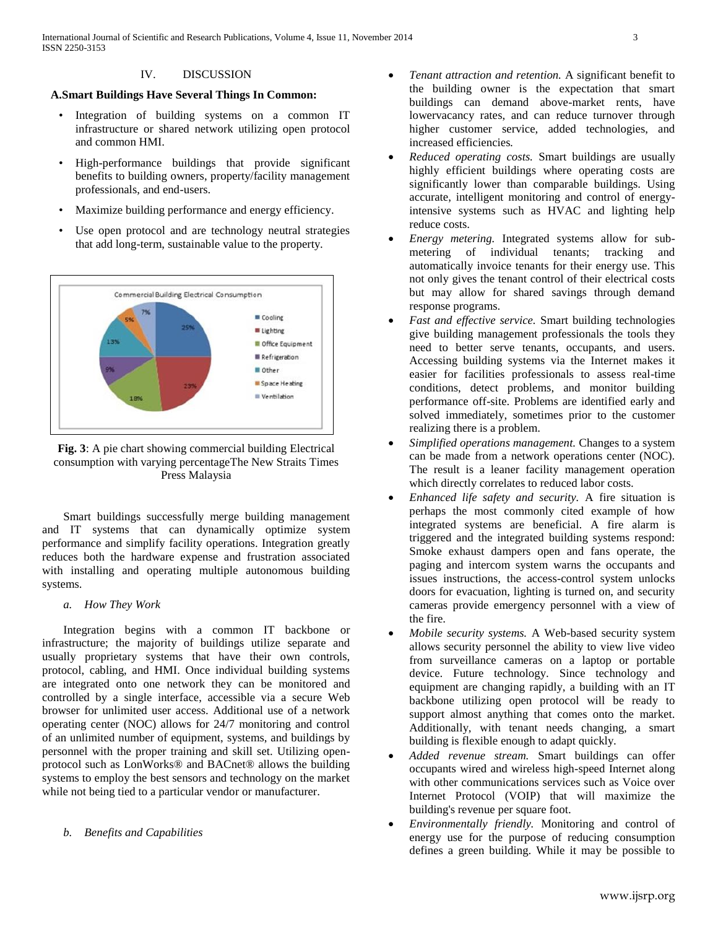### IV. DISCUSSION

#### **A.Smart Buildings Have Several Things In Common:**

- Integration of building systems on a common IT infrastructure or shared network utilizing open protocol and common HMI.
- High-performance buildings that provide significant benefits to building owners, property/facility management professionals, and end-users.
- Maximize building performance and energy efficiency.
- Use open protocol and are technology neutral strategies that add long-term, sustainable value to the property.



**Fig. 3**: A pie chart showing commercial building Electrical consumption with varying percentageThe New Straits Times Press Malaysia

Smart buildings successfully merge building management and IT systems that can dynamically optimize system performance and simplify facility operations. Integration greatly reduces both the hardware expense and frustration associated with installing and operating multiple autonomous building systems.

#### *a. How They Work*

Integration begins with a common IT backbone or infrastructure; the majority of buildings utilize separate and usually proprietary systems that have their own controls, protocol, cabling, and HMI. Once individual building systems are integrated onto one network they can be monitored and controlled by a single interface, accessible via a secure Web browser for unlimited user access. Additional use of a network operating center (NOC) allows for 24/7 monitoring and control of an unlimited number of equipment, systems, and buildings by personnel with the proper training and skill set. Utilizing openprotocol such as LonWorks® and BACnet® allows the building systems to employ the best sensors and technology on the market while not being tied to a particular vendor or manufacturer.

## *b. Benefits and Capabilities*

- *Tenant attraction and retention.* A significant benefit to the building owner is the expectation that smart buildings can demand above-market rents, have lowervacancy rates, and can reduce turnover through higher customer service, added technologies, and increased efficiencies*.*
- *Reduced operating costs.* Smart buildings are usually highly efficient buildings where operating costs are significantly lower than comparable buildings. Using accurate, intelligent monitoring and control of energyintensive systems such as HVAC and lighting help reduce costs.
- *Energy metering.* Integrated systems allow for submetering of individual tenants; tracking and automatically invoice tenants for their energy use. This not only gives the tenant control of their electrical costs but may allow for shared savings through demand response programs.
- *Fast and effective service.* Smart building technologies give building management professionals the tools they need to better serve tenants, occupants, and users. Accessing building systems via the Internet makes it easier for facilities professionals to assess real-time conditions, detect problems, and monitor building performance off-site. Problems are identified early and solved immediately, sometimes prior to the customer realizing there is a problem.
- *Simplified operations management.* Changes to a system can be made from a network operations center (NOC). The result is a leaner facility management operation which directly correlates to reduced labor costs.
- *Enhanced life safety and security.* A fire situation is perhaps the most commonly cited example of how integrated systems are beneficial. A fire alarm is triggered and the integrated building systems respond: Smoke exhaust dampers open and fans operate, the paging and intercom system warns the occupants and issues instructions, the access-control system unlocks doors for evacuation, lighting is turned on, and security cameras provide emergency personnel with a view of the fire.
- *Mobile security systems.* A Web-based security system allows security personnel the ability to view live video from surveillance cameras on a laptop or portable device. Future technology. Since technology and equipment are changing rapidly, a building with an IT backbone utilizing open protocol will be ready to support almost anything that comes onto the market. Additionally, with tenant needs changing, a smart building is flexible enough to adapt quickly.
- *Added revenue stream.* Smart buildings can offer occupants wired and wireless high-speed Internet along with other communications services such as Voice over Internet Protocol (VOIP) that will maximize the building's revenue per square foot.
- *Environmentally friendly.* Monitoring and control of energy use for the purpose of reducing consumption defines a green building. While it may be possible to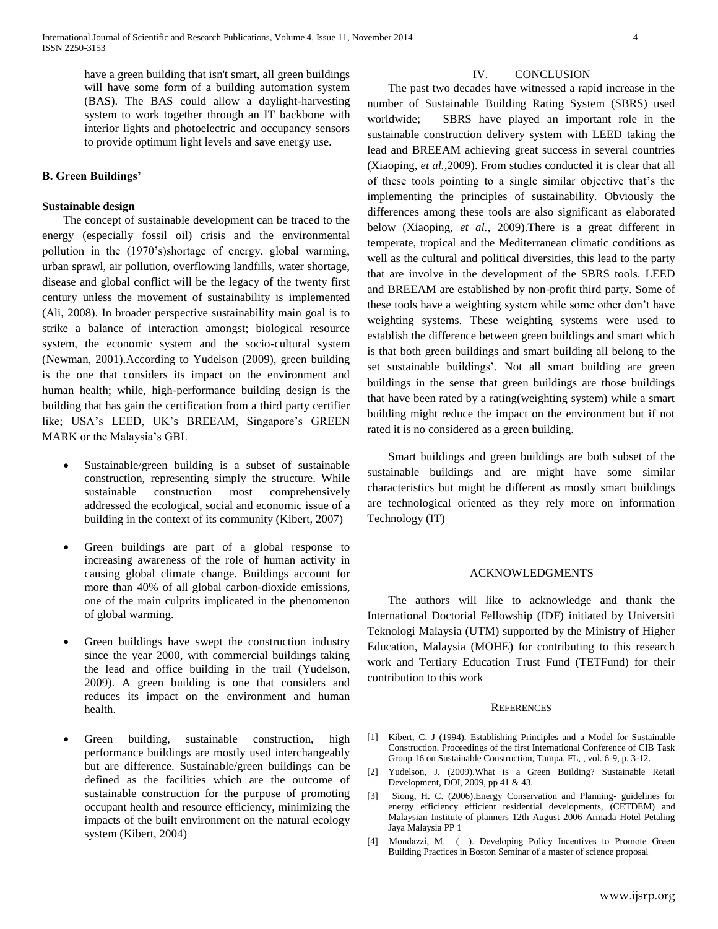have a green building that isn't smart, all green buildings will have some form of a building automation system (BAS). The BAS could allow a daylight-harvesting system to work together through an IT backbone with interior lights and photoelectric and occupancy sensors to provide optimum light levels and save energy use.

## **B. Green Buildings'**

#### **Sustainable design**

The concept of sustainable development can be traced to the energy (especially fossil oil) crisis and the environmental pollution in the (1970"s)shortage of energy, global warming, urban sprawl, air pollution, overflowing landfills, water shortage, disease and global conflict will be the legacy of the twenty first century unless the movement of sustainability is implemented (Ali, 2008). In broader perspective sustainability main goal is to strike a balance of interaction amongst; biological resource system, the economic system and the socio-cultural system (Newman, 2001).According to Yudelson (2009), green building is the one that considers its impact on the environment and human health; while, high-performance building design is the building that has gain the certification from a third party certifier like; USA's LEED, UK's BREEAM, Singapore's GREEN MARK or the Malaysia"s GBI.

- Sustainable/green building is a subset of sustainable construction, representing simply the structure. While sustainable construction most comprehensively addressed the ecological, social and economic issue of a building in the context of its community (Kibert, 2007)
- Green buildings are part of a global response to increasing awareness of the role of human activity in causing global climate change. Buildings account for more than 40% of all global carbon-dioxide emissions, one of the main culprits implicated in the phenomenon of global warming.
- Green buildings have swept the construction industry since the year 2000, with commercial buildings taking the lead and office building in the trail (Yudelson, 2009). A green building is one that considers and reduces its impact on the environment and human health.
- Green building, sustainable construction, high performance buildings are mostly used interchangeably but are difference. Sustainable/green buildings can be defined as the facilities which are the outcome of sustainable construction for the purpose of promoting occupant health and resource efficiency, minimizing the impacts of the built environment on the natural ecology system (Kibert, 2004)

#### IV. CONCLUSION

The past two decades have witnessed a rapid increase in the number of Sustainable Building Rating System (SBRS) used worldwide; SBRS have played an important role in the sustainable construction delivery system with LEED taking the lead and BREEAM achieving great success in several countries (Xiaoping, *et al.,*2009). From studies conducted it is clear that all of these tools pointing to a single similar objective that"s the implementing the principles of sustainability. Obviously the differences among these tools are also significant as elaborated below (Xiaoping, *et al.,* 2009).There is a great different in temperate, tropical and the Mediterranean climatic conditions as well as the cultural and political diversities, this lead to the party that are involve in the development of the SBRS tools. LEED and BREEAM are established by non-profit third party. Some of these tools have a weighting system while some other don"t have weighting systems. These weighting systems were used to establish the difference between green buildings and smart which is that both green buildings and smart building all belong to the set sustainable buildings'. Not all smart building are green buildings in the sense that green buildings are those buildings that have been rated by a rating(weighting system) while a smart building might reduce the impact on the environment but if not rated it is no considered as a green building.

Smart buildings and green buildings are both subset of the sustainable buildings and are might have some similar characteristics but might be different as mostly smart buildings are technological oriented as they rely more on information Technology (IT)

#### ACKNOWLEDGMENTS

The authors will like to acknowledge and thank the International Doctorial Fellowship (IDF) initiated by Universiti Teknologi Malaysia (UTM) supported by the Ministry of Higher Education, Malaysia (MOHE) for contributing to this research work and Tertiary Education Trust Fund (TETFund) for their contribution to this work

#### **REFERENCES**

- [1] Kibert, C. J (1994). Establishing Principles and a Model for Sustainable Construction. Proceedings of the first International Conference of CIB Task Group 16 on Sustainable Construction, Tampa, FL, , vol. 6-9, p. 3-12.
- [2] Yudelson, J. (2009). What is a Green Building? Sustainable Retail Development, DOI, 2009, pp 41 & 43.
- [3] Siong, H. C. (2006).Energy Conservation and Planning- guidelines for energy efficiency efficient residential developments, (CETDEM) and Malaysian Institute of planners 12th August 2006 Armada Hotel Petaling Jaya Malaysia PP 1
- [4] Mondazzi, M. (…). Developing Policy Incentives to Promote Green Building Practices in Boston Seminar of a master of science proposal